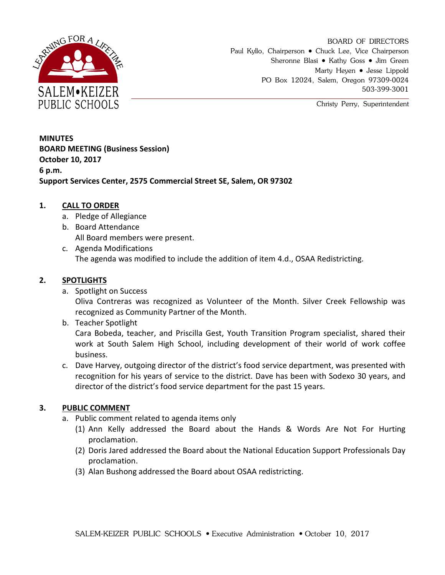

BOARD OF DIRECTORS Paul Kyllo, Chairperson • Chuck Lee, Vice Chairperson Sheronne Blasi • Kathy Goss • Jim Green Marty Heyen • Jesse Lippold PO Box 12024, Salem, Oregon 97309-0024 503-399-3001

Christy Perry, Superintendent

**MINUTES BOARD MEETING (Business Session) October 10, 2017 6 p.m. Support Services Center, 2575 Commercial Street SE, Salem, OR 97302**

#### **1. CALL TO ORDER**

- a. Pledge of Allegiance
- b. Board Attendance All Board members were present.
- c. Agenda Modifications The agenda was modified to include the addition of item 4.d., OSAA Redistricting.

#### **2. SPOTLIGHTS**

a. Spotlight on Success

Oliva Contreras was recognized as Volunteer of the Month. Silver Creek Fellowship was recognized as Community Partner of the Month.

b. Teacher Spotlight

Cara Bobeda, teacher, and Priscilla Gest, Youth Transition Program specialist, shared their work at South Salem High School, including development of their world of work coffee business.

c. Dave Harvey, outgoing director of the district's food service department, was presented with recognition for his years of service to the district. Dave has been with Sodexo 30 years, and director of the district's food service department for the past 15 years.

# **3. PUBLIC COMMENT**

- a. Public comment related to agenda items only
	- (1) Ann Kelly addressed the Board about the Hands & Words Are Not For Hurting proclamation.
	- (2) Doris Jared addressed the Board about the National Education Support Professionals Day proclamation.
	- (3) Alan Bushong addressed the Board about OSAA redistricting.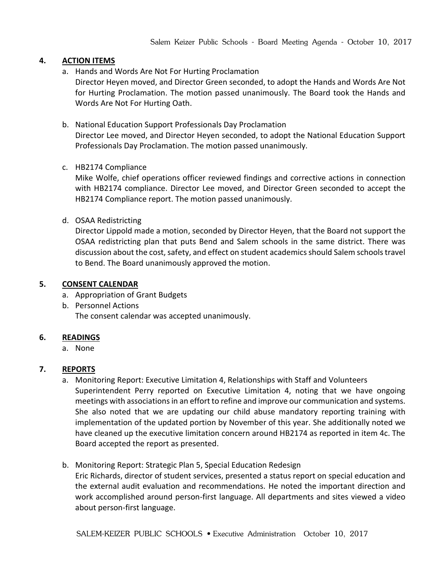#### **4. ACTION ITEMS**

a. Hands and Words Are Not For Hurting Proclamation

Director Heyen moved, and Director Green seconded, to adopt the Hands and Words Are Not for Hurting Proclamation. The motion passed unanimously. The Board took the Hands and Words Are Not For Hurting Oath.

#### b. National Education Support Professionals Day Proclamation

Director Lee moved, and Director Heyen seconded, to adopt the National Education Support Professionals Day Proclamation. The motion passed unanimously.

c. HB2174 Compliance

Mike Wolfe, chief operations officer reviewed findings and corrective actions in connection with HB2174 compliance. Director Lee moved, and Director Green seconded to accept the HB2174 Compliance report. The motion passed unanimously.

d. OSAA Redistricting

Director Lippold made a motion, seconded by Director Heyen, that the Board not support the OSAA redistricting plan that puts Bend and Salem schools in the same district. There was discussion about the cost, safety, and effect on student academics should Salem schools travel to Bend. The Board unanimously approved the motion.

#### **5. CONSENT CALENDAR**

- a. Appropriation of Grant Budgets
- b. Personnel Actions The consent calendar was accepted unanimously.

# **6. READINGS**

a. None

# **7. REPORTS**

- a. Monitoring Report: Executive Limitation 4, Relationships with Staff and Volunteers Superintendent Perry reported on Executive Limitation 4, noting that we have ongoing meetings with associations in an effort to refine and improve our communication and systems. She also noted that we are updating our child abuse mandatory reporting training with implementation of the updated portion by November of this year. She additionally noted we have cleaned up the executive limitation concern around HB2174 as reported in item 4c. The Board accepted the report as presented.
- b. Monitoring Report: Strategic Plan 5, Special Education Redesign

Eric Richards, director of student services, presented a status report on special education and the external audit evaluation and recommendations. He noted the important direction and work accomplished around person-first language. All departments and sites viewed a video about person-first language.